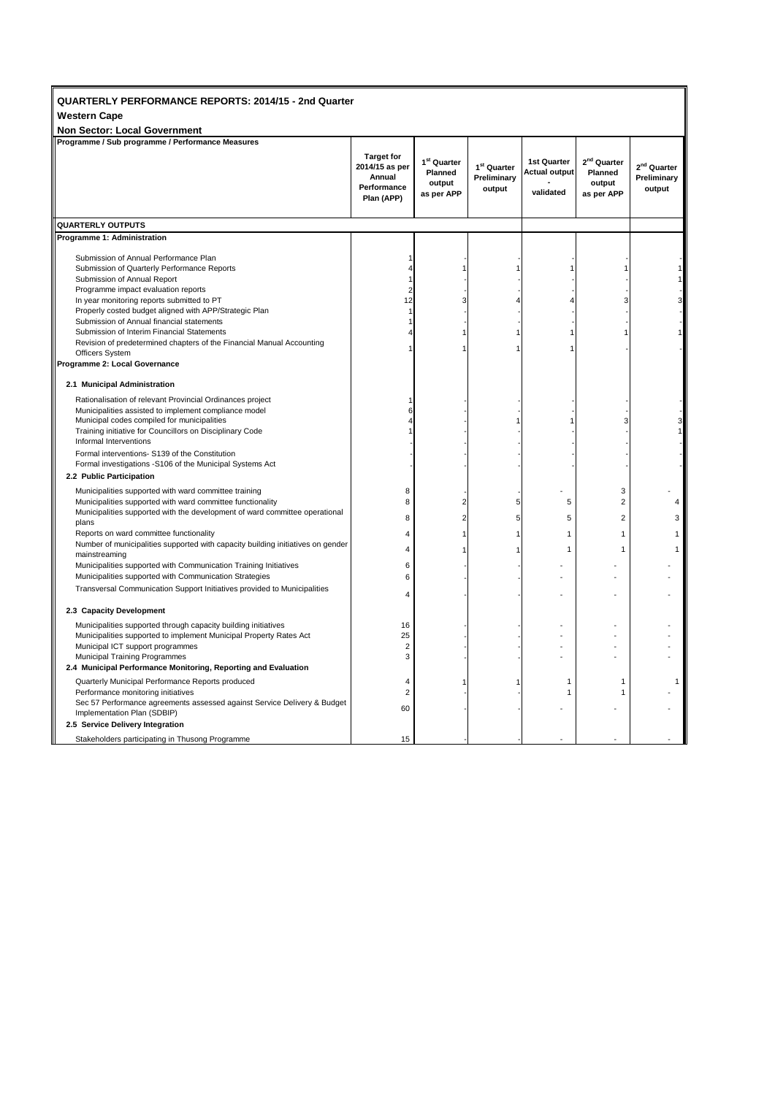| QUARTERLY PERFORMANCE REPORTS: 2014/15 - 2nd Quarter<br><b>Western Cape</b><br><b>Non Sector: Local Government</b>                                                                                                                                                                                                                                                                                                                                                                         |                                                                            |                                                            |                                                  |                                                  |                                                            |                                                  |  |  |  |
|--------------------------------------------------------------------------------------------------------------------------------------------------------------------------------------------------------------------------------------------------------------------------------------------------------------------------------------------------------------------------------------------------------------------------------------------------------------------------------------------|----------------------------------------------------------------------------|------------------------------------------------------------|--------------------------------------------------|--------------------------------------------------|------------------------------------------------------------|--------------------------------------------------|--|--|--|
| Programme / Sub programme / Performance Measures                                                                                                                                                                                                                                                                                                                                                                                                                                           |                                                                            |                                                            |                                                  |                                                  |                                                            |                                                  |  |  |  |
|                                                                                                                                                                                                                                                                                                                                                                                                                                                                                            | <b>Target for</b><br>2014/15 as per<br>Annual<br>Performance<br>Plan (APP) | 1 <sup>st</sup> Quarter<br>Planned<br>output<br>as per APP | 1 <sup>st</sup> Quarter<br>Preliminary<br>output | 1st Quarter<br><b>Actual output</b><br>validated | 2 <sup>nd</sup> Quarter<br>Planned<br>output<br>as per APP | 2 <sup>nd</sup> Quarter<br>Preliminary<br>output |  |  |  |
| <b>QUARTERLY OUTPUTS</b>                                                                                                                                                                                                                                                                                                                                                                                                                                                                   |                                                                            |                                                            |                                                  |                                                  |                                                            |                                                  |  |  |  |
| Programme 1: Administration                                                                                                                                                                                                                                                                                                                                                                                                                                                                |                                                                            |                                                            |                                                  |                                                  |                                                            |                                                  |  |  |  |
| Submission of Annual Performance Plan<br>Submission of Quarterly Performance Reports<br>Submission of Annual Report<br>Programme impact evaluation reports<br>In year monitoring reports submitted to PT<br>Properly costed budget aligned with APP/Strategic Plan<br>Submission of Annual financial statements<br>Submission of Interim Financial Statements<br>Revision of predetermined chapters of the Financial Manual Accounting<br>Officers System<br>Programme 2: Local Governance | 4<br>1<br>$\overline{c}$<br>12<br>1<br>1                                   | 3                                                          |                                                  |                                                  | 3                                                          |                                                  |  |  |  |
| 2.1 Municipal Administration                                                                                                                                                                                                                                                                                                                                                                                                                                                               |                                                                            |                                                            |                                                  |                                                  |                                                            |                                                  |  |  |  |
| Rationalisation of relevant Provincial Ordinances project<br>Municipalities assisted to implement compliance model<br>Municipal codes compiled for municipalities<br>Training initiative for Councillors on Disciplinary Code<br>Informal Interventions                                                                                                                                                                                                                                    | 6                                                                          |                                                            |                                                  |                                                  |                                                            |                                                  |  |  |  |
| Formal interventions- S139 of the Constitution<br>Formal investigations -S106 of the Municipal Systems Act                                                                                                                                                                                                                                                                                                                                                                                 |                                                                            |                                                            |                                                  |                                                  |                                                            |                                                  |  |  |  |
| 2.2 Public Participation                                                                                                                                                                                                                                                                                                                                                                                                                                                                   |                                                                            |                                                            |                                                  |                                                  |                                                            |                                                  |  |  |  |
| Municipalities supported with ward committee training<br>Municipalities supported with ward committee functionality<br>Municipalities supported with the development of ward committee operational<br>plans                                                                                                                                                                                                                                                                                | 8<br>8<br>8                                                                | $\overline{2}$<br>2                                        | 5<br>5                                           | 5<br>5                                           | 3<br>$\overline{2}$<br>$\overline{2}$                      | 4<br>3                                           |  |  |  |
| Reports on ward committee functionality                                                                                                                                                                                                                                                                                                                                                                                                                                                    | $\overline{4}$                                                             |                                                            |                                                  | 1                                                | $\overline{1}$                                             | 1                                                |  |  |  |
| Number of municipalities supported with capacity building initiatives on gender<br>mainstreaming                                                                                                                                                                                                                                                                                                                                                                                           | $\overline{4}$                                                             |                                                            |                                                  | 1                                                | $\mathbf{1}$                                               | 1                                                |  |  |  |
| Municipalities supported with Communication Training Initiatives<br>Municipalities supported with Communication Strategies<br>Transversal Communication Support Initiatives provided to Municipalities                                                                                                                                                                                                                                                                                     | 6<br>6                                                                     |                                                            |                                                  |                                                  |                                                            |                                                  |  |  |  |
|                                                                                                                                                                                                                                                                                                                                                                                                                                                                                            | $\overline{4}$                                                             |                                                            |                                                  |                                                  |                                                            |                                                  |  |  |  |
| 2.3 Capacity Development                                                                                                                                                                                                                                                                                                                                                                                                                                                                   |                                                                            |                                                            |                                                  |                                                  |                                                            |                                                  |  |  |  |
| Municipalities supported through capacity building initiatives<br>Municipalities supported to implement Municipal Property Rates Act<br>Municipal ICT support programmes<br>Municipal Training Programmes<br>2.4 Municipal Performance Monitoring, Reporting and Evaluation                                                                                                                                                                                                                | 16<br>25<br>$\overline{2}$<br>3                                            |                                                            |                                                  |                                                  |                                                            |                                                  |  |  |  |
| Quarterly Municipal Performance Reports produced                                                                                                                                                                                                                                                                                                                                                                                                                                           | $\overline{4}$                                                             |                                                            |                                                  | 1                                                | 1                                                          | 1                                                |  |  |  |
| Performance monitoring initiatives<br>Sec 57 Performance agreements assessed against Service Delivery & Budget<br>Implementation Plan (SDBIP)                                                                                                                                                                                                                                                                                                                                              | $\overline{2}$<br>60                                                       |                                                            |                                                  | 1                                                | $\mathbf{1}$                                               |                                                  |  |  |  |
| 2.5 Service Delivery Integration                                                                                                                                                                                                                                                                                                                                                                                                                                                           |                                                                            |                                                            |                                                  |                                                  |                                                            |                                                  |  |  |  |
| Stakeholders participating in Thusong Programme                                                                                                                                                                                                                                                                                                                                                                                                                                            | 15                                                                         |                                                            |                                                  |                                                  |                                                            |                                                  |  |  |  |